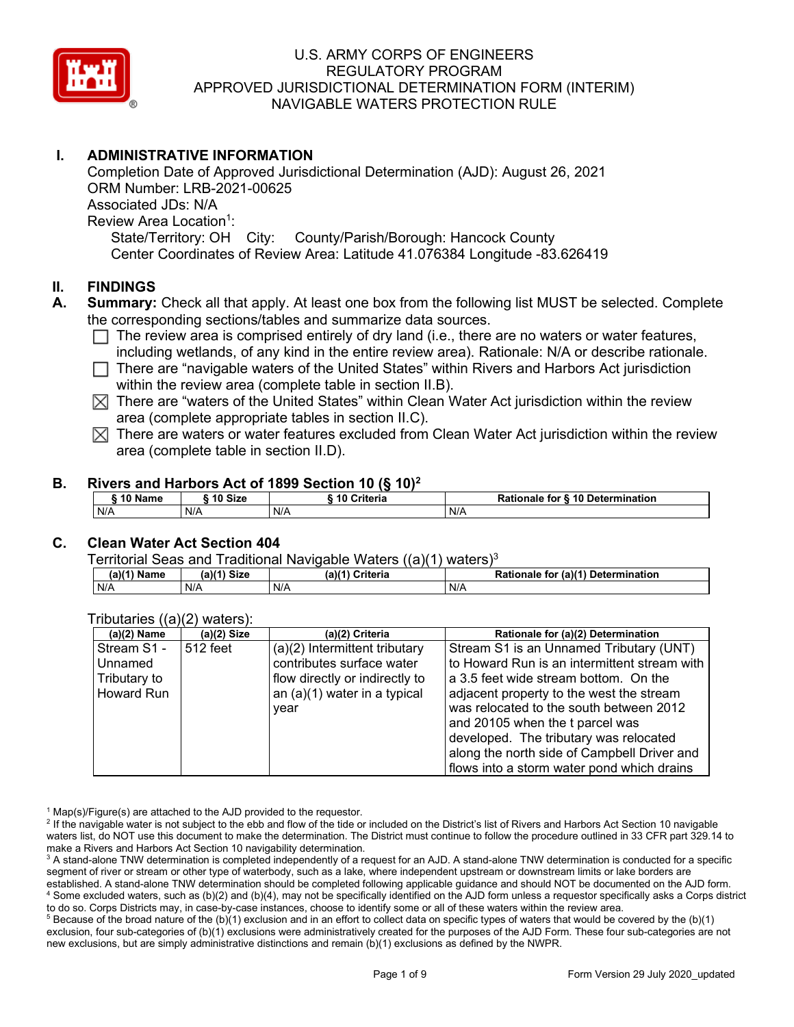

# **I. ADMINISTRATIVE INFORMATION**

Completion Date of Approved Jurisdictional Determination (AJD): August 26, 2021 ORM Number: LRB-2021-00625 Associated JDs: N/A Review Area Location<sup>1</sup>: State/Territory: OH City: County/Parish/Borough: Hancock County Center Coordinates of Review Area: Latitude 41.076384 Longitude -83.626419

### **II. FINDINGS**

- **A. Summary:** Check all that apply. At least one box from the following list MUST be selected. Complete the corresponding sections/tables and summarize data sources.
	- $\Box$  The review area is comprised entirely of dry land (i.e., there are no waters or water features, including wetlands, of any kind in the entire review area). Rationale: N/A or describe rationale.
	- $\Box$  There are "navigable waters of the United States" within Rivers and Harbors Act jurisdiction within the review area (complete table in section II.B).
	- $\boxtimes$  There are "waters of the United States" within Clean Water Act jurisdiction within the review area (complete appropriate tables in section II.C).
	- $\boxtimes$  There are waters or water features excluded from Clean Water Act jurisdiction within the review area (complete table in section II.D).

### **B. Rivers and Harbors Act of 1899 Section 10 (§ 10)2**

| $^{\circ}$ 10 Name | 10 Size | <b>Criteria</b> | <b>Rationale for § 10 Determination</b> |
|--------------------|---------|-----------------|-----------------------------------------|
| N/A                | N/A     | N/A             | N/A                                     |

## **C. Clean Water Act Section 404**

Territorial Seas and Traditional Navigable Waters  $((a)(1)$  waters)<sup>3</sup>

| $(a)(1)$ Name | $(a)(1)$ Size | (a)(1)<br>Criteria | (a)(1) Determination<br>Rationale<br>for |
|---------------|---------------|--------------------|------------------------------------------|
| N/A           | N/A           | N/A                | N/A                                      |

| $(100(100)(2)$ waters. |               |                                |                                              |
|------------------------|---------------|--------------------------------|----------------------------------------------|
| (a)(2) Name            | $(a)(2)$ Size | (a)(2) Criteria                | Rationale for (a)(2) Determination           |
| Stream S1 -            | 512 feet      | (a)(2) Intermittent tributary  | Stream S1 is an Unnamed Tributary (UNT)      |
| Unnamed                |               | contributes surface water      | to Howard Run is an intermittent stream with |
| Tributary to           |               | flow directly or indirectly to | a 3.5 feet wide stream bottom. On the        |
| Howard Run             |               | an $(a)(1)$ water in a typical | adjacent property to the west the stream     |
|                        |               | vear                           | was relocated to the south between 2012      |
|                        |               |                                | and 20105 when the t parcel was              |
|                        |               |                                | developed. The tributary was relocated       |
|                        |               |                                | along the north side of Campbell Driver and  |
|                        |               |                                | flows into a storm water pond which drains   |

Tributaries ((a)(2) waters):

 $1$  Map(s)/Figure(s) are attached to the AJD provided to the requestor.

<sup>2</sup> If the navigable water is not subject to the ebb and flow of the tide or included on the District's list of Rivers and Harbors Act Section 10 navigable waters list, do NOT use this document to make the determination. The District must continue to follow the procedure outlined in 33 CFR part 329.14 to make a Rivers and Harbors Act Section 10 navigability determination.

<sup>3</sup> A stand-alone TNW determination is completed independently of a request for an AJD. A stand-alone TNW determination is conducted for a specific segment of river or stream or other type of waterbody, such as a lake, where independent upstream or downstream limits or lake borders are established. A stand-alone TNW determination should be completed following applicable guidance and should NOT be documented on the AJD form. <sup>4</sup> Some excluded waters, such as (b)(2) and (b)(4), may not be specifically identified on the AJD form unless a requestor specifically asks a Corps district to do so. Corps Districts may, in case-by-case instances, choose to identify some or all of these waters within the review area.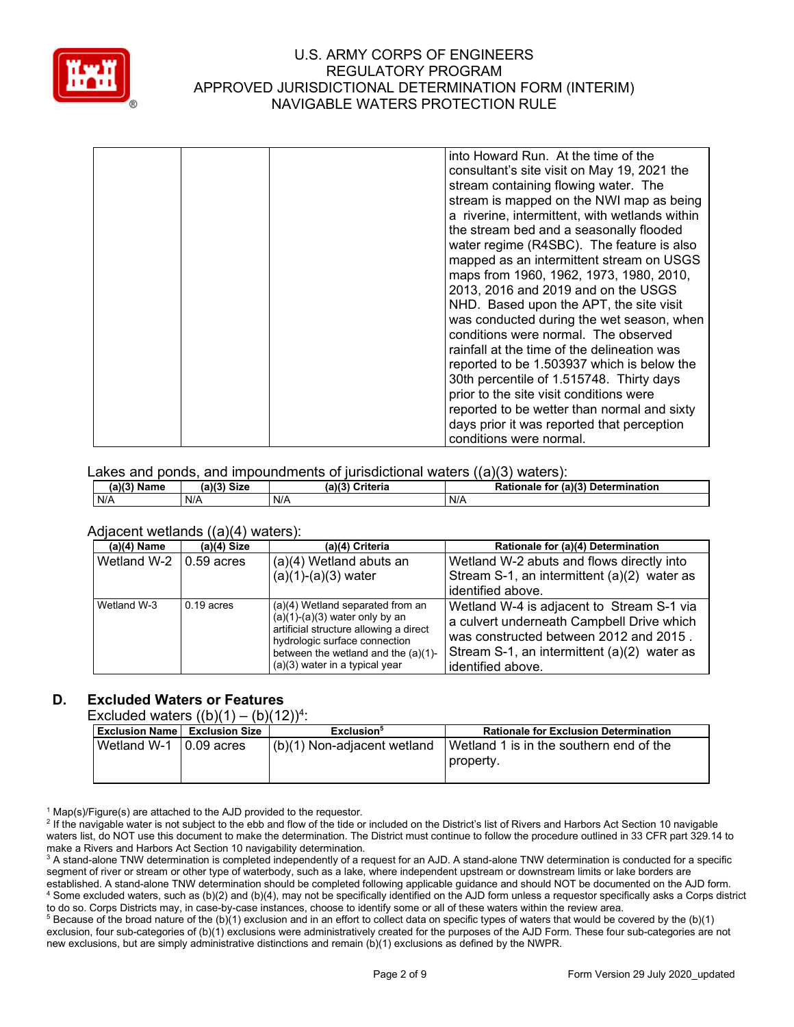

|  | into Howard Run. At the time of the            |
|--|------------------------------------------------|
|  | consultant's site visit on May 19, 2021 the    |
|  | stream containing flowing water. The           |
|  | stream is mapped on the NWI map as being       |
|  | a riverine, intermittent, with wetlands within |
|  | the stream bed and a seasonally flooded        |
|  | water regime (R4SBC). The feature is also      |
|  | mapped as an intermittent stream on USGS       |
|  | maps from 1960, 1962, 1973, 1980, 2010,        |
|  | 2013, 2016 and 2019 and on the USGS            |
|  | NHD. Based upon the APT, the site visit        |
|  | was conducted during the wet season, when      |
|  | conditions were normal. The observed           |
|  | rainfall at the time of the delineation was    |
|  | reported to be 1.503937 which is below the     |
|  | 30th percentile of 1.515748. Thirty days       |
|  | prior to the site visit conditions were        |
|  | reported to be wetter than normal and sixty    |
|  | days prior it was reported that perception     |
|  | conditions were normal.                        |

#### Lakes and ponds, and impoundments of jurisdictional waters  $((a)(3)$  waters):

| (2)(3)<br>Name<br>. а | $1/2$ Circ<br>จเ∠ь | (a)(3)<br>$\sim$ $+$<br>∪rıτeria | (a)(3)<br><b>Determination</b><br>Rationale<br>tor |
|-----------------------|--------------------|----------------------------------|----------------------------------------------------|
| N/A                   | N/A                | N/A                              | N/A                                                |

#### Adjacent wetlands ((a)(4) waters):

| $(a)(4)$ Name | $(a)(4)$ Size | (a)(4) Criteria                                                                                                                                                                                                               | Rationale for (a)(4) Determination                                                                                                                                                                   |
|---------------|---------------|-------------------------------------------------------------------------------------------------------------------------------------------------------------------------------------------------------------------------------|------------------------------------------------------------------------------------------------------------------------------------------------------------------------------------------------------|
| Wetland W-2   | $0.59$ acres  | (a)(4) Wetland abuts an<br>$(a)(1)-(a)(3)$ water                                                                                                                                                                              | Wetland W-2 abuts and flows directly into<br>Stream S-1, an intermittent (a)(2) water as<br>identified above.                                                                                        |
| Wetland W-3   | $0.19$ acres  | (a)(4) Wetland separated from an<br>$(a)(1)-(a)(3)$ water only by an<br>artificial structure allowing a direct<br>hydrologic surface connection<br>between the wetland and the $(a)(1)$ -<br>$(a)(3)$ water in a typical year | Wetland W-4 is adjacent to Stream S-1 via<br>a culvert underneath Campbell Drive which<br>was constructed between 2012 and 2015.<br>Stream S-1, an intermittent (a)(2) water as<br>identified above. |

# **D. Excluded Waters or Features**

Excluded waters  $((b)(1) - (b)(12))^4$ :

| $L$ <sup>1</sup><br>$1 \times 11 = 11$ |                                        |                               |                                                        |
|----------------------------------------|----------------------------------------|-------------------------------|--------------------------------------------------------|
|                                        | <b>Exclusion Name   Exclusion Size</b> | Exclusion <sup>5</sup>        | <b>Rationale for Exclusion Determination</b>           |
| Wetland W-1 $\,$   0.09 acres          |                                        | $(b)(1)$ Non-adjacent wetland | l Wetland 1 is in the southern end of the<br>property. |

 $1$  Map(s)/Figure(s) are attached to the AJD provided to the requestor.

<sup>2</sup> If the navigable water is not subject to the ebb and flow of the tide or included on the District's list of Rivers and Harbors Act Section 10 navigable waters list, do NOT use this document to make the determination. The District must continue to follow the procedure outlined in 33 CFR part 329.14 to make a Rivers and Harbors Act Section 10 navigability determination.

<sup>3</sup> A stand-alone TNW determination is completed independently of a request for an AJD. A stand-alone TNW determination is conducted for a specific segment of river or stream or other type of waterbody, such as a lake, where independent upstream or downstream limits or lake borders are established. A stand-alone TNW determination should be completed following applicable guidance and should NOT be documented on the AJD form. <sup>4</sup> Some excluded waters, such as (b)(2) and (b)(4), may not be specifically identified on the AJD form unless a requestor specifically asks a Corps district to do so. Corps Districts may, in case-by-case instances, choose to identify some or all of these waters within the review area.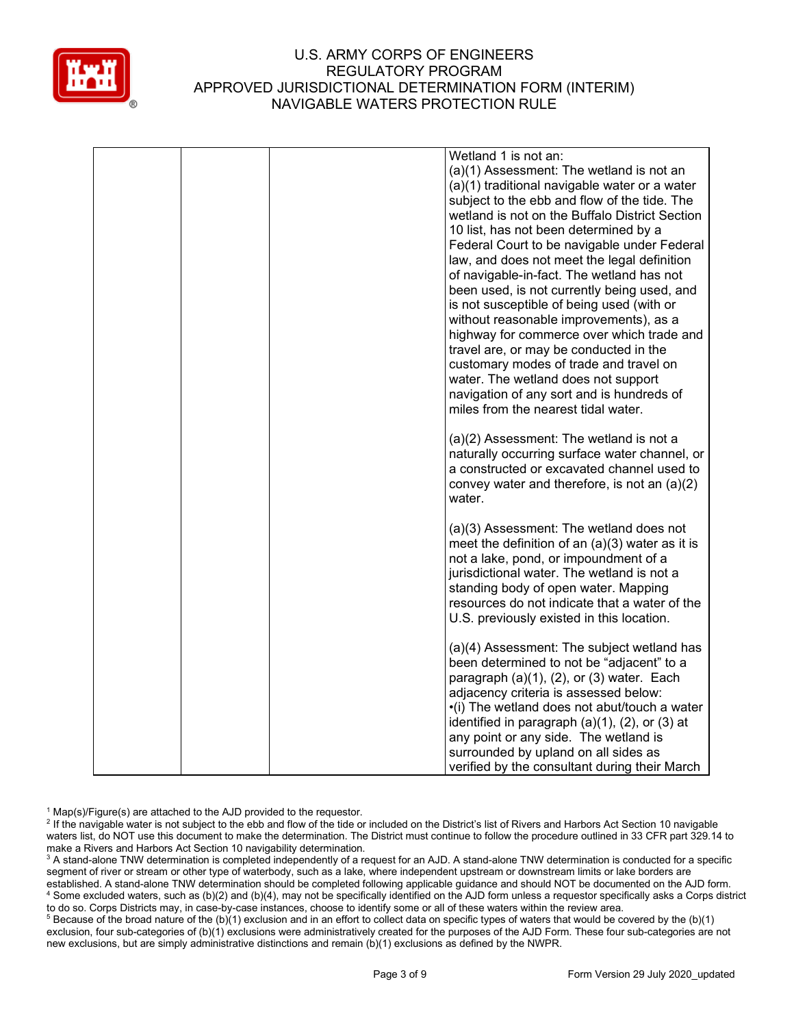

| Wetland 1 is not an:                                                                       |
|--------------------------------------------------------------------------------------------|
| (a)(1) Assessment: The wetland is not an                                                   |
| (a)(1) traditional navigable water or a water                                              |
| subject to the ebb and flow of the tide. The                                               |
| wetland is not on the Buffalo District Section                                             |
| 10 list, has not been determined by a                                                      |
| Federal Court to be navigable under Federal                                                |
| law, and does not meet the legal definition                                                |
| of navigable-in-fact. The wetland has not                                                  |
| been used, is not currently being used, and                                                |
| is not susceptible of being used (with or                                                  |
| without reasonable improvements), as a                                                     |
| highway for commerce over which trade and                                                  |
| travel are, or may be conducted in the                                                     |
| customary modes of trade and travel on                                                     |
|                                                                                            |
| water. The wetland does not support<br>navigation of any sort and is hundreds of           |
| miles from the nearest tidal water.                                                        |
|                                                                                            |
|                                                                                            |
| $(a)(2)$ Assessment: The wetland is not a<br>naturally occurring surface water channel, or |
| a constructed or excavated channel used to                                                 |
| convey water and therefore, is not an (a)(2)                                               |
| water.                                                                                     |
|                                                                                            |
| (a)(3) Assessment: The wetland does not                                                    |
| meet the definition of an $(a)(3)$ water as it is                                          |
| not a lake, pond, or impoundment of a                                                      |
| jurisdictional water. The wetland is not a                                                 |
| standing body of open water. Mapping                                                       |
| resources do not indicate that a water of the                                              |
| U.S. previously existed in this location.                                                  |
|                                                                                            |
| (a)(4) Assessment: The subject wetland has                                                 |
| been determined to not be "adjacent" to a                                                  |
| paragraph $(a)(1)$ , $(2)$ , or $(3)$ water. Each                                          |
| adjacency criteria is assessed below:                                                      |
| •(i) The wetland does not abut/touch a water                                               |
| identified in paragraph $(a)(1)$ , $(2)$ , or $(3)$ at                                     |
| any point or any side. The wetland is                                                      |
| surrounded by upland on all sides as                                                       |
| verified by the consultant during their March                                              |

 $1$  Map(s)/Figure(s) are attached to the AJD provided to the requestor.

<sup>&</sup>lt;sup>2</sup> If the navigable water is not subject to the ebb and flow of the tide or included on the District's list of Rivers and Harbors Act Section 10 navigable waters list, do NOT use this document to make the determination. The District must continue to follow the procedure outlined in 33 CFR part 329.14 to make a Rivers and Harbors Act Section 10 navigability determination.

<sup>&</sup>lt;sup>3</sup> A stand-alone TNW determination is completed independently of a request for an AJD. A stand-alone TNW determination is conducted for a specific segment of river or stream or other type of waterbody, such as a lake, where independent upstream or downstream limits or lake borders are established. A stand-alone TNW determination should be completed following applicable guidance and should NOT be documented on the AJD form. <sup>4</sup> Some excluded waters, such as (b)(2) and (b)(4), may not be specifically identified on the AJD form unless a requestor specifically asks a Corps district to do so. Corps Districts may, in case-by-case instances, choose to identify some or all of these waters within the review area.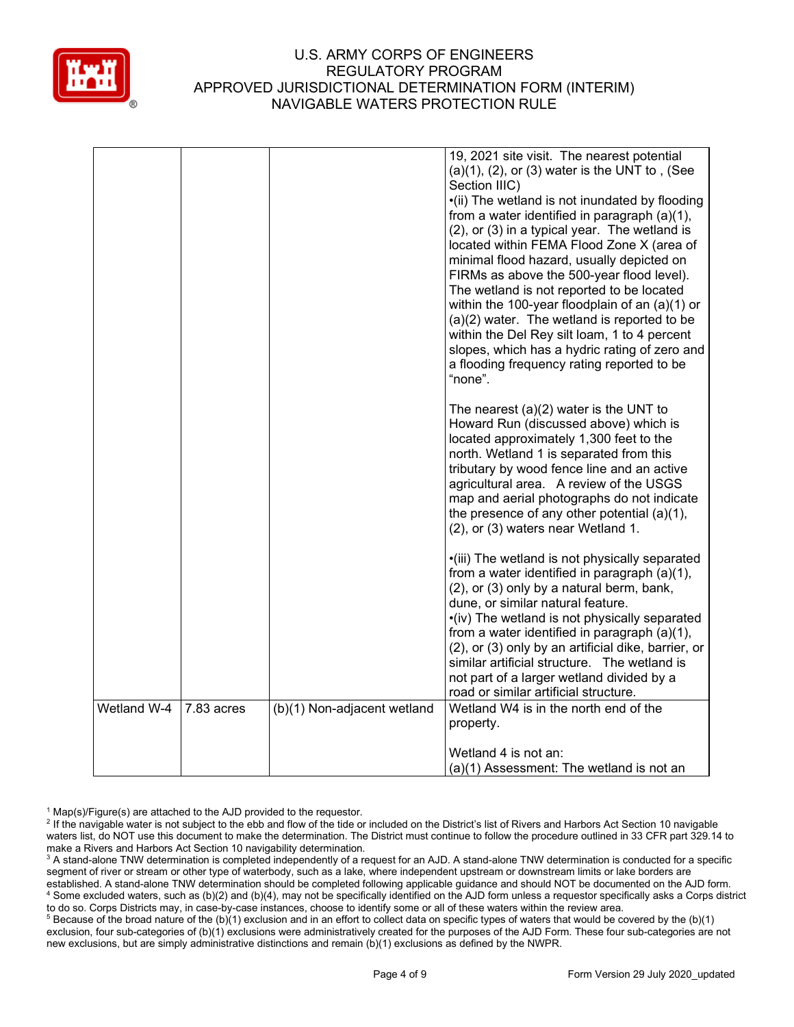

|             |            |                             | 19, 2021 site visit. The nearest potential<br>$(a)(1)$ , $(2)$ , or $(3)$ water is the UNT to, (See<br>Section IIIC)<br>•(ii) The wetland is not inundated by flooding<br>from a water identified in paragraph (a)(1),<br>(2), or (3) in a typical year. The wetland is<br>located within FEMA Flood Zone X (area of<br>minimal flood hazard, usually depicted on<br>FIRMs as above the 500-year flood level).<br>The wetland is not reported to be located<br>within the 100-year floodplain of an $(a)(1)$ or<br>$(a)(2)$ water. The wetland is reported to be<br>within the Del Rey silt loam, 1 to 4 percent<br>slopes, which has a hydric rating of zero and<br>a flooding frequency rating reported to be<br>"none". |
|-------------|------------|-----------------------------|----------------------------------------------------------------------------------------------------------------------------------------------------------------------------------------------------------------------------------------------------------------------------------------------------------------------------------------------------------------------------------------------------------------------------------------------------------------------------------------------------------------------------------------------------------------------------------------------------------------------------------------------------------------------------------------------------------------------------|
|             |            |                             | The nearest $(a)(2)$ water is the UNT to<br>Howard Run (discussed above) which is<br>located approximately 1,300 feet to the<br>north. Wetland 1 is separated from this<br>tributary by wood fence line and an active<br>agricultural area. A review of the USGS<br>map and aerial photographs do not indicate<br>the presence of any other potential (a)(1),<br>(2), or (3) waters near Wetland 1.                                                                                                                                                                                                                                                                                                                        |
|             |            |                             | ·(iii) The wetland is not physically separated<br>from a water identified in paragraph (a)(1),<br>(2), or (3) only by a natural berm, bank,<br>dune, or similar natural feature.<br>•(iv) The wetland is not physically separated<br>from a water identified in paragraph (a)(1),<br>(2), or (3) only by an artificial dike, barrier, or<br>similar artificial structure. The wetland is<br>not part of a larger wetland divided by a<br>road or similar artificial structure.                                                                                                                                                                                                                                             |
| Wetland W-4 | 7.83 acres | (b)(1) Non-adjacent wetland | Wetland W4 is in the north end of the<br>property.<br>Wetland 4 is not an:<br>(a)(1) Assessment: The wetland is not an                                                                                                                                                                                                                                                                                                                                                                                                                                                                                                                                                                                                     |

 $1$  Map(s)/Figure(s) are attached to the AJD provided to the requestor.

<sup>2</sup> If the navigable water is not subject to the ebb and flow of the tide or included on the District's list of Rivers and Harbors Act Section 10 navigable waters list, do NOT use this document to make the determination. The District must continue to follow the procedure outlined in 33 CFR part 329.14 to make a Rivers and Harbors Act Section 10 navigability determination.

<sup>3</sup> A stand-alone TNW determination is completed independently of a request for an AJD. A stand-alone TNW determination is conducted for a specific segment of river or stream or other type of waterbody, such as a lake, where independent upstream or downstream limits or lake borders are established. A stand-alone TNW determination should be completed following applicable guidance and should NOT be documented on the AJD form. <sup>4</sup> Some excluded waters, such as (b)(2) and (b)(4), may not be specifically identified on the AJD form unless a requestor specifically asks a Corps district to do so. Corps Districts may, in case-by-case instances, choose to identify some or all of these waters within the review area.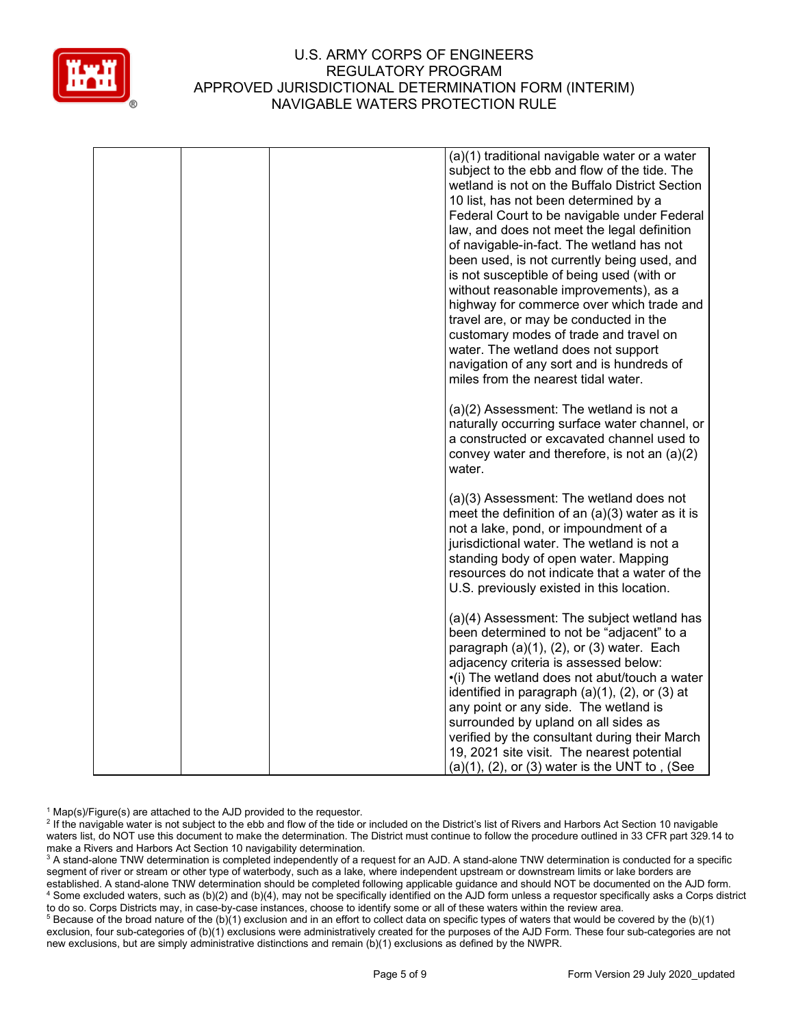

| (a)(1) traditional navigable water or a water<br>subject to the ebb and flow of the tide. The<br>wetland is not on the Buffalo District Section<br>10 list, has not been determined by a<br>Federal Court to be navigable under Federal<br>law, and does not meet the legal definition<br>of navigable-in-fact. The wetland has not<br>been used, is not currently being used, and<br>is not susceptible of being used (with or<br>without reasonable improvements), as a<br>highway for commerce over which trade and<br>travel are, or may be conducted in the<br>customary modes of trade and travel on<br>water. The wetland does not support<br>navigation of any sort and is hundreds of<br>miles from the nearest tidal water. |
|---------------------------------------------------------------------------------------------------------------------------------------------------------------------------------------------------------------------------------------------------------------------------------------------------------------------------------------------------------------------------------------------------------------------------------------------------------------------------------------------------------------------------------------------------------------------------------------------------------------------------------------------------------------------------------------------------------------------------------------|
| (a)(2) Assessment: The wetland is not a<br>naturally occurring surface water channel, or<br>a constructed or excavated channel used to<br>convey water and therefore, is not an $(a)(2)$<br>water.                                                                                                                                                                                                                                                                                                                                                                                                                                                                                                                                    |
| (a)(3) Assessment: The wetland does not<br>meet the definition of an $(a)(3)$ water as it is<br>not a lake, pond, or impoundment of a<br>jurisdictional water. The wetland is not a<br>standing body of open water. Mapping<br>resources do not indicate that a water of the<br>U.S. previously existed in this location.                                                                                                                                                                                                                                                                                                                                                                                                             |
| (a)(4) Assessment: The subject wetland has<br>been determined to not be "adjacent" to a<br>paragraph $(a)(1)$ , $(2)$ , or $(3)$ water. Each<br>adjacency criteria is assessed below:<br>•(i) The wetland does not abut/touch a water<br>identified in paragraph $(a)(1)$ , $(2)$ , or $(3)$ at<br>any point or any side. The wetland is<br>surrounded by upland on all sides as<br>verified by the consultant during their March<br>19, 2021 site visit. The nearest potential<br>$(a)(1)$ , $(2)$ , or $(3)$ water is the UNT to, (See                                                                                                                                                                                              |

 $1$  Map(s)/Figure(s) are attached to the AJD provided to the requestor.

<sup>2</sup> If the navigable water is not subject to the ebb and flow of the tide or included on the District's list of Rivers and Harbors Act Section 10 navigable waters list, do NOT use this document to make the determination. The District must continue to follow the procedure outlined in 33 CFR part 329.14 to make a Rivers and Harbors Act Section 10 navigability determination.

<sup>3</sup> A stand-alone TNW determination is completed independently of a request for an AJD. A stand-alone TNW determination is conducted for a specific segment of river or stream or other type of waterbody, such as a lake, where independent upstream or downstream limits or lake borders are established. A stand-alone TNW determination should be completed following applicable guidance and should NOT be documented on the AJD form. <sup>4</sup> Some excluded waters, such as (b)(2) and (b)(4), may not be specifically identified on the AJD form unless a requestor specifically asks a Corps district to do so. Corps Districts may, in case-by-case instances, choose to identify some or all of these waters within the review area.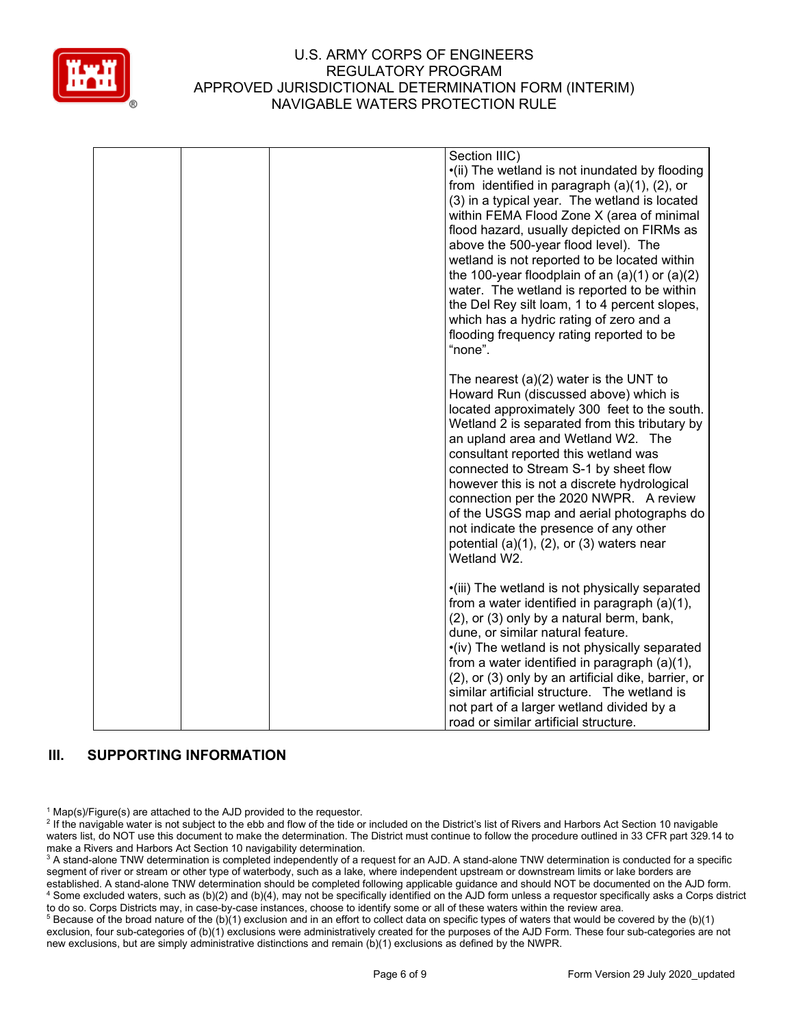

|  | Section IIIC)<br>•(ii) The wetland is not inundated by flooding<br>from identified in paragraph $(a)(1)$ , $(2)$ , or<br>(3) in a typical year. The wetland is located<br>within FEMA Flood Zone X (area of minimal<br>flood hazard, usually depicted on FIRMs as<br>above the 500-year flood level). The<br>wetland is not reported to be located within<br>the 100-year floodplain of an $(a)(1)$ or $(a)(2)$<br>water. The wetland is reported to be within<br>the Del Rey silt loam, 1 to 4 percent slopes,<br>which has a hydric rating of zero and a<br>flooding frequency rating reported to be<br>"none". |
|--|-------------------------------------------------------------------------------------------------------------------------------------------------------------------------------------------------------------------------------------------------------------------------------------------------------------------------------------------------------------------------------------------------------------------------------------------------------------------------------------------------------------------------------------------------------------------------------------------------------------------|
|  | The nearest $(a)(2)$ water is the UNT to<br>Howard Run (discussed above) which is<br>located approximately 300 feet to the south.<br>Wetland 2 is separated from this tributary by<br>an upland area and Wetland W2. The<br>consultant reported this wetland was<br>connected to Stream S-1 by sheet flow<br>however this is not a discrete hydrological<br>connection per the 2020 NWPR. A review<br>of the USGS map and aerial photographs do<br>not indicate the presence of any other<br>potential $(a)(1)$ , $(2)$ , or $(3)$ waters near<br>Wetland W2.                                                     |
|  | •(iii) The wetland is not physically separated<br>from a water identified in paragraph (a)(1),<br>(2), or (3) only by a natural berm, bank,<br>dune, or similar natural feature.<br>•(iv) The wetland is not physically separated<br>from a water identified in paragraph (a)(1),<br>(2), or (3) only by an artificial dike, barrier, or<br>similar artificial structure. The wetland is<br>not part of a larger wetland divided by a<br>road or similar artificial structure.                                                                                                                                    |

# **III. SUPPORTING INFORMATION**

 $1$  Map(s)/Figure(s) are attached to the AJD provided to the requestor.

<sup>2</sup> If the navigable water is not subject to the ebb and flow of the tide or included on the District's list of Rivers and Harbors Act Section 10 navigable waters list, do NOT use this document to make the determination. The District must continue to follow the procedure outlined in 33 CFR part 329.14 to make a Rivers and Harbors Act Section 10 navigability determination.

<sup>3</sup> A stand-alone TNW determination is completed independently of a request for an AJD. A stand-alone TNW determination is conducted for a specific segment of river or stream or other type of waterbody, such as a lake, where independent upstream or downstream limits or lake borders are established. A stand-alone TNW determination should be completed following applicable guidance and should NOT be documented on the AJD form. <sup>4</sup> Some excluded waters, such as (b)(2) and (b)(4), may not be specifically identified on the AJD form unless a requestor specifically asks a Corps district to do so. Corps Districts may, in case-by-case instances, choose to identify some or all of these waters within the review area.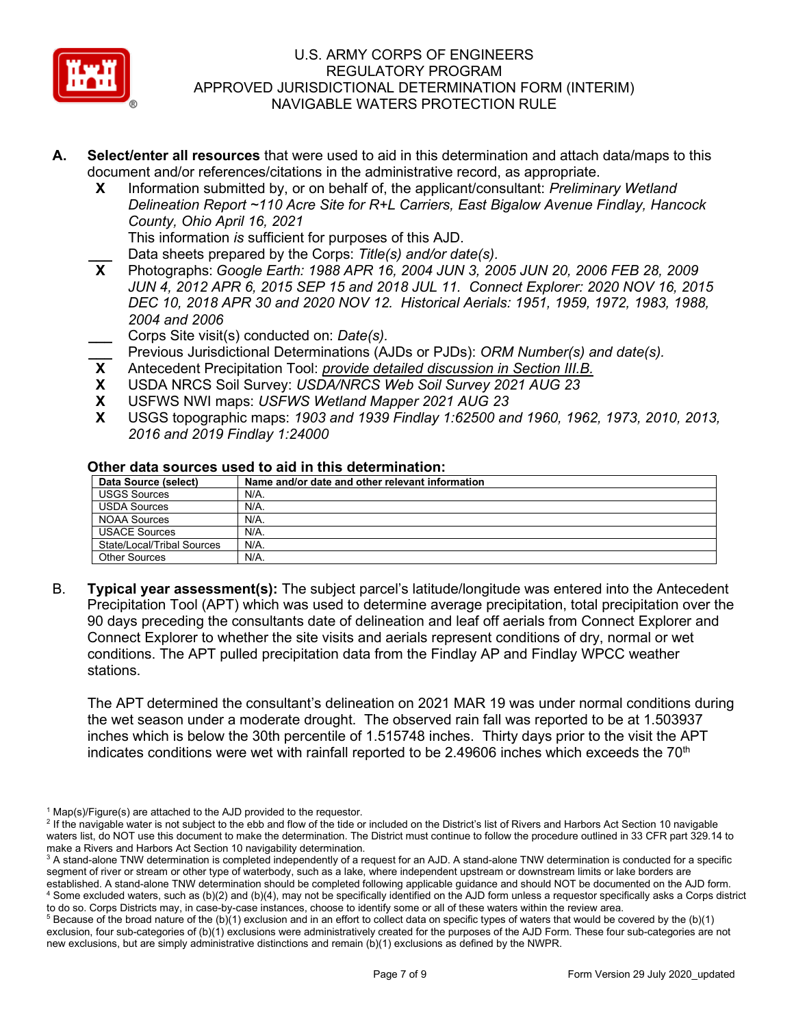

- **A. Select/enter all resources** that were used to aid in this determination and attach data/maps to this document and/or references/citations in the administrative record, as appropriate.
	- **X** Information submitted by, or on behalf of, the applicant/consultant: *Preliminary Wetland Delineation Report ~110 Acre Site for R+L Carriers, East Bigalow Avenue Findlay, Hancock County, Ohio April 16, 2021*

This information *is* sufficient for purposes of this AJD.

**\_\_\_** Data sheets prepared by the Corps: *Title(s) and/or date(s).*

**X** Photographs: *Google Earth: 1988 APR 16, 2004 JUN 3, 2005 JUN 20, 2006 FEB 28, 2009 JUN 4, 2012 APR 6, 2015 SEP 15 and 2018 JUL 11. Connect Explorer: 2020 NOV 16, 2015 DEC 10, 2018 APR 30 and 2020 NOV 12. Historical Aerials: 1951, 1959, 1972, 1983, 1988, 2004 and 2006* 

**\_\_\_** Corps Site visit(s) conducted on: *Date(s).*

- **\_\_** Previous Jurisdictional Determinations (AJDs or PJDs): *ORM Number(s) and date(s).*<br>**X** Antecedent Precipitation Tool: *provide detailed discussion in Section III.B.*
- **X** Antecedent Precipitation Tool: *provide detailed discussion in Section III.B.*
- **X** USDA NRCS Soil Survey: *USDA/NRCS Web Soil Survey 2021 AUG 23*
- **X** USFWS NWI maps: *USFWS Wetland Mapper 2021 AUG 23*
- **X** USGS topographic maps: *1903 and 1939 Findlay 1:62500 and 1960, 1962, 1973, 2010, 2013, 2016 and 2019 Findlay 1:24000*

#### **Other data sources used to aid in this determination:**

| Data Source (select)       | Name and/or date and other relevant information |  |  |
|----------------------------|-------------------------------------------------|--|--|
| <b>USGS Sources</b>        | N/A.                                            |  |  |
| <b>USDA Sources</b>        | N/A.                                            |  |  |
| NOAA Sources               | N/A.                                            |  |  |
| <b>USACE Sources</b>       | $N/A$ .                                         |  |  |
| State/Local/Tribal Sources | N/A.                                            |  |  |
| <b>Other Sources</b>       | $N/A$ .                                         |  |  |

B. **Typical year assessment(s):** The subject parcel's latitude/longitude was entered into the Antecedent Precipitation Tool (APT) which was used to determine average precipitation, total precipitation over the 90 days preceding the consultants date of delineation and leaf off aerials from Connect Explorer and Connect Explorer to whether the site visits and aerials represent conditions of dry, normal or wet conditions. The APT pulled precipitation data from the Findlay AP and Findlay WPCC weather stations.

The APT determined the consultant's delineation on 2021 MAR 19 was under normal conditions during the wet season under a moderate drought. The observed rain fall was reported to be at 1.503937 inches which is below the 30th percentile of 1.515748 inches. Thirty days prior to the visit the APT indicates conditions were wet with rainfall reported to be 2.49606 inches which exceeds the  $70<sup>th</sup>$ 

 $1$  Map(s)/Figure(s) are attached to the AJD provided to the requestor.

<sup>&</sup>lt;sup>2</sup> If the navigable water is not subject to the ebb and flow of the tide or included on the District's list of Rivers and Harbors Act Section 10 navigable waters list, do NOT use this document to make the determination. The District must continue to follow the procedure outlined in 33 CFR part 329.14 to make a Rivers and Harbors Act Section 10 navigability determination.

<sup>&</sup>lt;sup>3</sup> A stand-alone TNW determination is completed independently of a request for an AJD. A stand-alone TNW determination is conducted for a specific segment of river or stream or other type of waterbody, such as a lake, where independent upstream or downstream limits or lake borders are established. A stand-alone TNW determination should be completed following applicable guidance and should NOT be documented on the AJD form. <sup>4</sup> Some excluded waters, such as (b)(2) and (b)(4), may not be specifically identified on the AJD form unless a requestor specifically asks a Corps district

to do so. Corps Districts may, in case-by-case instances, choose to identify some or all of these waters within the review area.  $5$  Because of the broad nature of the (b)(1) exclusion and in an effort to collect data on specific types of waters that would be covered by the (b)(1) exclusion, four sub-categories of (b)(1) exclusions were administratively created for the purposes of the AJD Form. These four sub-categories are not new exclusions, but are simply administrative distinctions and remain (b)(1) exclusions as defined by the NWPR.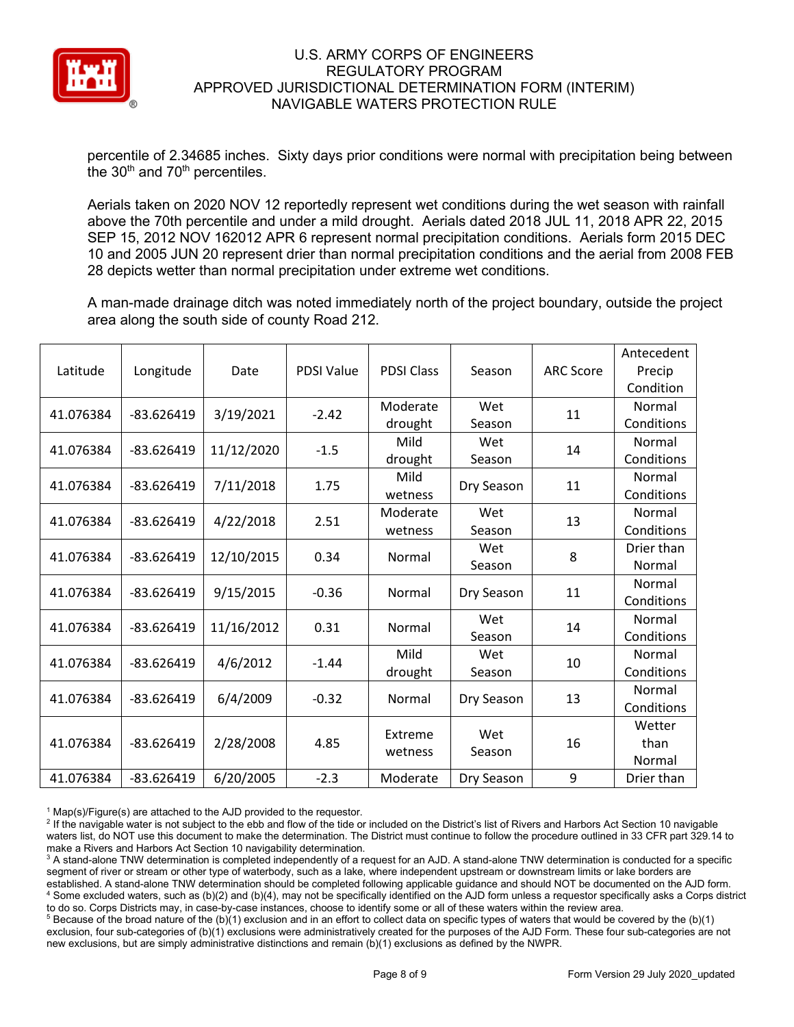

percentile of 2.34685 inches. Sixty days prior conditions were normal with precipitation being between the  $30<sup>th</sup>$  and  $70<sup>th</sup>$  percentiles.

Aerials taken on 2020 NOV 12 reportedly represent wet conditions during the wet season with rainfall above the 70th percentile and under a mild drought. Aerials dated 2018 JUL 11, 2018 APR 22, 2015 SEP 15, 2012 NOV 162012 APR 6 represent normal precipitation conditions. Aerials form 2015 DEC 10 and 2005 JUN 20 represent drier than normal precipitation conditions and the aerial from 2008 FEB 28 depicts wetter than normal precipitation under extreme wet conditions.

A man-made drainage ditch was noted immediately north of the project boundary, outside the project area along the south side of county Road 212.

|           |              |            |                   |                   |            |                  | Antecedent |
|-----------|--------------|------------|-------------------|-------------------|------------|------------------|------------|
| Latitude  | Longitude    | Date       | <b>PDSI Value</b> | <b>PDSI Class</b> | Season     | <b>ARC Score</b> | Precip     |
|           |              |            |                   |                   |            |                  | Condition  |
| 41.076384 | $-83.626419$ | 3/19/2021  | $-2.42$           | Moderate          | Wet        | 11               | Normal     |
|           |              |            |                   | drought           | Season     |                  | Conditions |
| 41.076384 | $-83.626419$ | 11/12/2020 | $-1.5$            | Mild              | Wet        | 14               | Normal     |
|           |              |            |                   | drought           | Season     |                  | Conditions |
| 41.076384 | $-83.626419$ | 7/11/2018  | 1.75              | Mild              |            | 11               | Normal     |
|           |              |            |                   | wetness           | Dry Season |                  | Conditions |
| 41.076384 | $-83.626419$ | 4/22/2018  | 2.51              | Moderate          | Wet        | 13               | Normal     |
|           |              |            |                   | wetness           | Season     |                  | Conditions |
| 41.076384 | $-83.626419$ | 12/10/2015 | 0.34              | Normal            | Wet        | 8                | Drier than |
|           |              |            |                   |                   | Season     |                  | Normal     |
| 41.076384 | $-83.626419$ | 9/15/2015  | $-0.36$           | Normal            | Dry Season | 11               | Normal     |
|           |              |            |                   |                   |            |                  | Conditions |
| 41.076384 | $-83.626419$ | 11/16/2012 | 0.31              | Normal            | Wet        | 14               | Normal     |
|           |              |            |                   |                   | Season     |                  | Conditions |
| 41.076384 | $-83.626419$ | 4/6/2012   | $-1.44$           | Mild              | Wet        | 10               | Normal     |
|           |              |            |                   | drought           | Season     |                  | Conditions |
|           | $-83.626419$ |            | $-0.32$           |                   |            |                  | Normal     |
| 41.076384 |              | 6/4/2009   |                   | Normal            | Dry Season | 13               | Conditions |
|           |              |            |                   | Extreme           | Wet        |                  | Wetter     |
| 41.076384 | $-83.626419$ | 2/28/2008  | 4.85              | wetness           | Season     | 16               | than       |
|           |              |            |                   |                   |            |                  | Normal     |
| 41.076384 | $-83.626419$ | 6/20/2005  | $-2.3$            | Moderate          | Dry Season | 9                | Drier than |

 $1$  Map(s)/Figure(s) are attached to the AJD provided to the requestor.

<sup>2</sup> If the navigable water is not subject to the ebb and flow of the tide or included on the District's list of Rivers and Harbors Act Section 10 navigable waters list, do NOT use this document to make the determination. The District must continue to follow the procedure outlined in 33 CFR part 329.14 to make a Rivers and Harbors Act Section 10 navigability determination.

<sup>3</sup> A stand-alone TNW determination is completed independently of a request for an AJD. A stand-alone TNW determination is conducted for a specific segment of river or stream or other type of waterbody, such as a lake, where independent upstream or downstream limits or lake borders are established. A stand-alone TNW determination should be completed following applicable guidance and should NOT be documented on the AJD form. <sup>4</sup> Some excluded waters, such as (b)(2) and (b)(4), may not be specifically identified on the AJD form unless a requestor specifically asks a Corps district to do so. Corps Districts may, in case-by-case instances, choose to identify some or all of these waters within the review area.